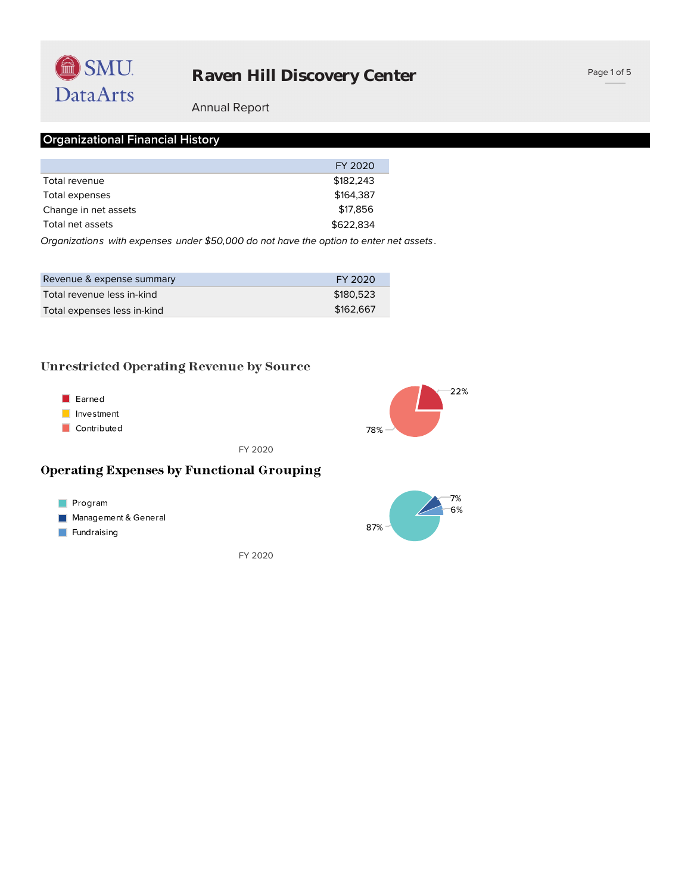

#### Annual Report

### **Organizational Financial History**

|                      | FY 2020   |
|----------------------|-----------|
| Total revenue        | \$182,243 |
| Total expenses       | \$164.387 |
| Change in net assets | \$17,856  |
| Total net assets     | \$622,834 |
|                      |           |

*Organizations with expenses under \$50,000 do not have the option to enter net assets .*

| Revenue & expense summary   | FY 2020   |
|-----------------------------|-----------|
| Total revenue less in-kind  | \$180.523 |
| Total expenses less in-kind | \$162,667 |

#### **Unrestricted Operating Revenue by Source**



FY 2020

#### **Operating Expenses by Functional Grouping**



 $7%$  $-6%$ 87%

FY 2020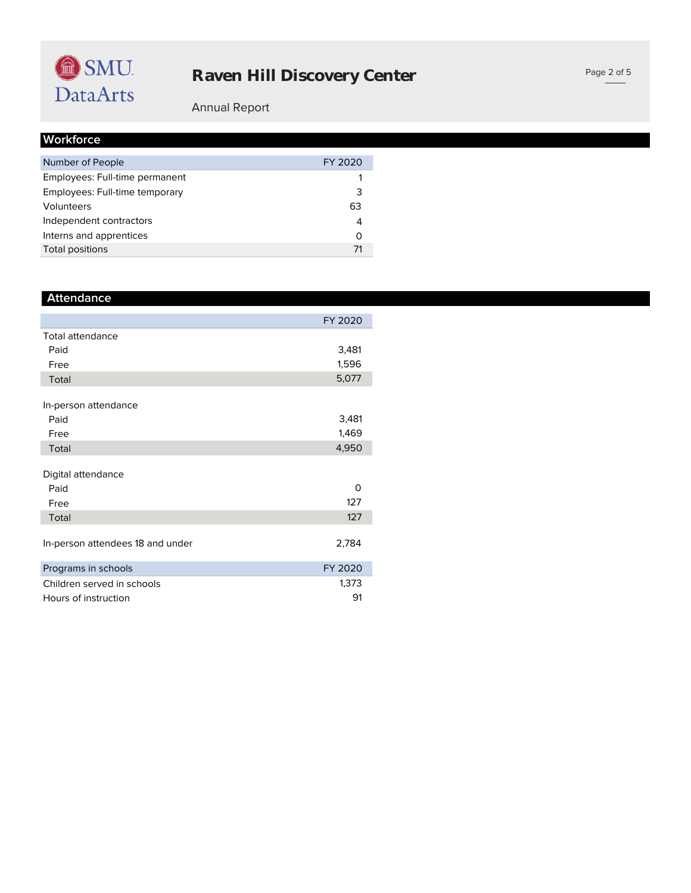

#### Page 2 of 5

## Annual Report

|  | Workforce |  |  |
|--|-----------|--|--|
|  |           |  |  |

| Number of People               | FY 2020 |
|--------------------------------|---------|
| Employees: Full-time permanent |         |
| Employees: Full-time temporary | 3       |
| Volunteers                     | 63      |
| Independent contractors        | 4       |
| Interns and apprentices        | Ω       |
| Total positions                |         |

| <b>Attendance</b>                |         |
|----------------------------------|---------|
|                                  | FY 2020 |
| Total attendance                 |         |
| Paid                             | 3,481   |
| Free                             | 1,596   |
| Total                            | 5,077   |
|                                  |         |
| In-person attendance             |         |
| Paid                             | 3,481   |
| Free                             | 1,469   |
| Total                            | 4,950   |
|                                  |         |
| Digital attendance               |         |
| Paid                             | 0       |
| Free                             | 127     |
| Total                            | 127     |
|                                  |         |
| In-person attendees 18 and under | 2,784   |
| Programs in schools              | FY 2020 |
| Children served in schools       | 1,373   |
| Hours of instruction             | 91      |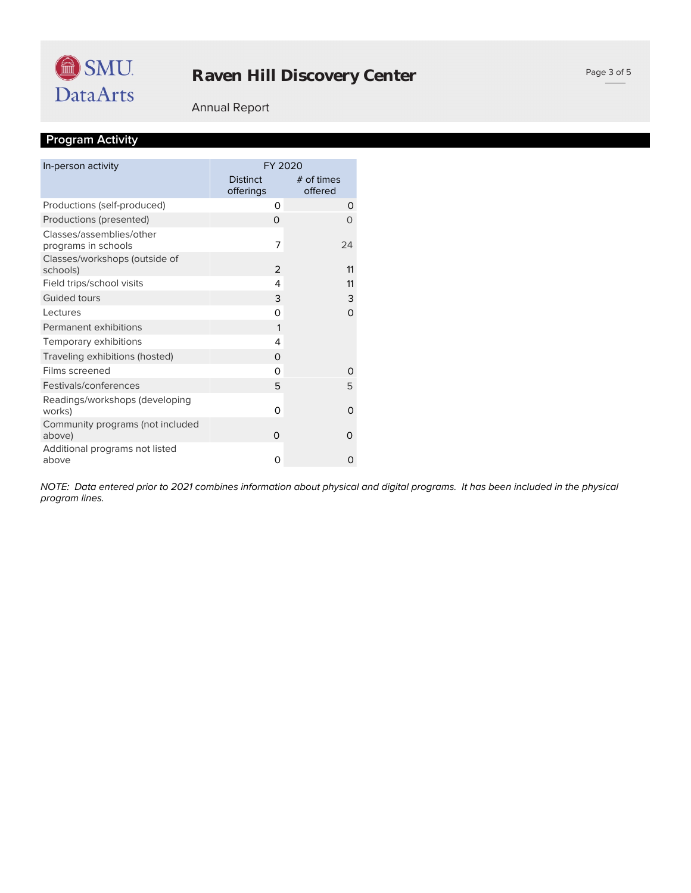

### Annual Report

## **Program Activity**

| In-person activity                              | FY 2020                      |                       |
|-------------------------------------------------|------------------------------|-----------------------|
|                                                 | <b>Distinct</b><br>offerings | # of times<br>offered |
| Productions (self-produced)                     | 0                            | 0                     |
| Productions (presented)                         | $\Omega$                     | O                     |
| Classes/assemblies/other<br>programs in schools | 7                            | 24                    |
| Classes/workshops (outside of<br>schools)       | 2                            | 11                    |
| Field trips/school visits                       | 4                            | 11                    |
| Guided tours                                    | 3                            | 3                     |
| Lectures                                        | 0                            | $\Omega$              |
| Permanent exhibitions                           | 1                            |                       |
| Temporary exhibitions                           | 4                            |                       |
| Traveling exhibitions (hosted)                  | 0                            |                       |
| Films screened                                  | $\Omega$                     | O                     |
| Festivals/conferences                           | 5                            | 5                     |
| Readings/workshops (developing<br>works)        | 0                            | $\Omega$              |
| Community programs (not included<br>above)      | O                            | 0                     |
| Additional programs not listed<br>above         | 0                            | Ω                     |

*program lines. NOTE: Data entered prior to 2021 combines information about physical and digital programs. It has been included in the physical*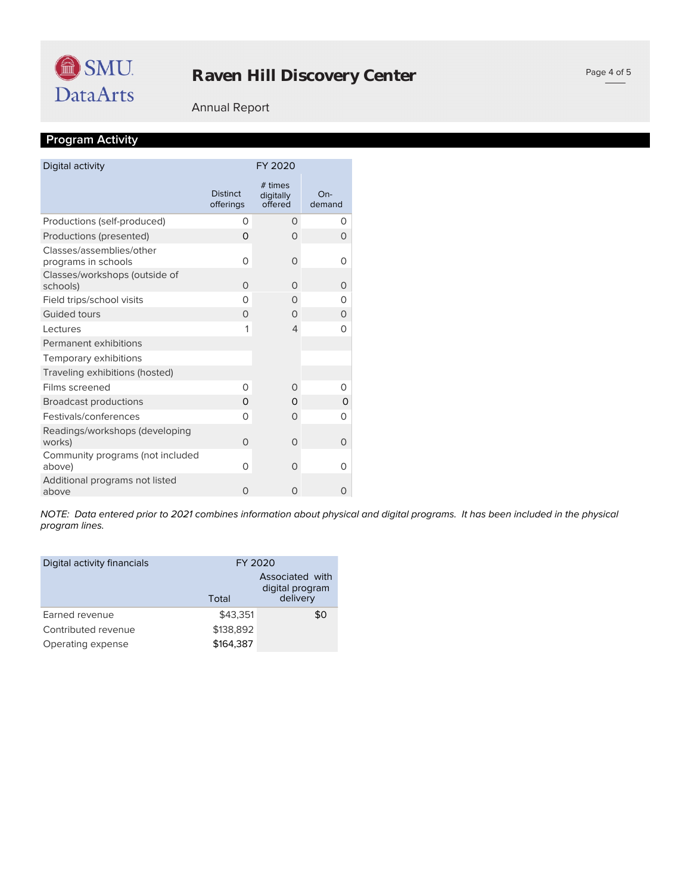#### Annual Report

## **Program Activity**

| Digital activity                                | FY 2020                      |                                 |                 |
|-------------------------------------------------|------------------------------|---------------------------------|-----------------|
|                                                 | <b>Distinct</b><br>offerings | # times<br>digitally<br>offered | $On-$<br>demand |
| Productions (self-produced)                     | 0                            | 0                               | O               |
| Productions (presented)                         | $\Omega$                     | $\Omega$                        | 0               |
| Classes/assemblies/other<br>programs in schools | $\Omega$                     | $\Omega$                        | $\Omega$        |
| Classes/workshops (outside of<br>schools)       | $\Omega$                     | $\Omega$                        | 0               |
| Field trips/school visits                       | $\Omega$                     | $\Omega$                        | O               |
| <b>Guided tours</b>                             | $\Omega$                     | $\Omega$                        | 0               |
| Lectures                                        | 1                            | $\overline{4}$                  | 0               |
| Permanent exhibitions                           |                              |                                 |                 |
| Temporary exhibitions                           |                              |                                 |                 |
| Traveling exhibitions (hosted)                  |                              |                                 |                 |
| Films screened                                  | 0                            | $\Omega$                        | O               |
| <b>Broadcast productions</b>                    | $\Omega$                     | $\Omega$                        | 0               |
| Festivals/conferences                           | $\Omega$                     | $\Omega$                        | O               |
| Readings/workshops (developing<br>works)        | $\Omega$                     | $\Omega$                        | $\Omega$        |
| Community programs (not included<br>above)      | 0                            | $\Omega$                        | 0               |
| Additional programs not listed<br>above         | $\Omega$                     | O                               | 0               |

*program lines. NOTE: Data entered prior to 2021 combines information about physical and digital programs. It has been included in the physical* 

| Digital activity financials | FY 2020   |                                                |
|-----------------------------|-----------|------------------------------------------------|
|                             | Total     | Associated with<br>digital program<br>delivery |
| Earned revenue              | \$43.351  | \$0                                            |
| Contributed revenue         | \$138,892 |                                                |
| Operating expense           | \$164,387 |                                                |